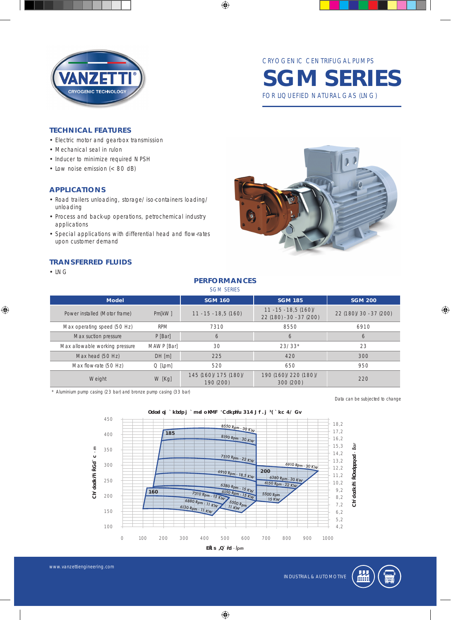

CRYOGENIC CENTRIFUGAL PUMPS **SGM SERIES** FOR LIQUEFIED NATURAL GAS (LNG)

#### **TECHNICAL FEATURES**

- Electric motor and gearbox transmission
- Mechanical seal in rulon
- Inducer to minimize required NPSH
- Low noise emission (< 80 dB)

#### **APPLICATIONS**

- Road trailers unloading, storage/iso-containers loading/ unloading
- Process and back-up operations, petrochemical industry applications
- Special applications with differential head and flow-rates upon customer demand

## **TRANSFERRED FLUIDS**

• LNG

◈



|                                | <b>PERFORMANCES</b><br><b>SGM SERIES</b><br><b>SGM 160</b><br><b>SGM 185</b><br><b>SGM 200</b><br><b>Model</b><br>$11 - 15 - 18,5(160)$<br>22 (180)/30 - 37 (200)<br>$11 - 15 - 18, 5(160)$<br>Pm[kVV]<br>22 (180) - 30 - 37 (200) |                                   |                                   |      |  |  |  |  |  |  |  |  |
|--------------------------------|------------------------------------------------------------------------------------------------------------------------------------------------------------------------------------------------------------------------------------|-----------------------------------|-----------------------------------|------|--|--|--|--|--|--|--|--|
|                                |                                                                                                                                                                                                                                    |                                   |                                   |      |  |  |  |  |  |  |  |  |
| Power installed (Motor frame)  |                                                                                                                                                                                                                                    |                                   |                                   |      |  |  |  |  |  |  |  |  |
| Max operating speed (50 Hz)    | <b>RPM</b>                                                                                                                                                                                                                         | 7310                              | 8550                              | 6910 |  |  |  |  |  |  |  |  |
| Max suction pressure           | P [Bar]                                                                                                                                                                                                                            | 6                                 | 6                                 | 6    |  |  |  |  |  |  |  |  |
| Max allowable working pressure | MAWP [Bar]                                                                                                                                                                                                                         | 30                                | $23/33*$                          | 23   |  |  |  |  |  |  |  |  |
| Max head (50 Hz)               | DH[m]                                                                                                                                                                                                                              | 225                               | 420                               | 300  |  |  |  |  |  |  |  |  |
| Max flow-rate (50 Hz)          | $Q$ [Lpm]                                                                                                                                                                                                                          | 520                               | 650                               | 950  |  |  |  |  |  |  |  |  |
| Weight                         | W [Kg]                                                                                                                                                                                                                             | 145 (160)/175 (180)/<br>190 (200) | 190 (160)/220 (180)/<br>300 (200) | 220  |  |  |  |  |  |  |  |  |

 $\bigoplus$ 

*\* Aluminium pump casing (23 bar) and bronze pump casing (33 bar)*

*Data can be subjected to change*

◈



 $\bigoplus$ 

www.vanzettiengineering.com

INDUSTRIAL & AUTOMOTIVE

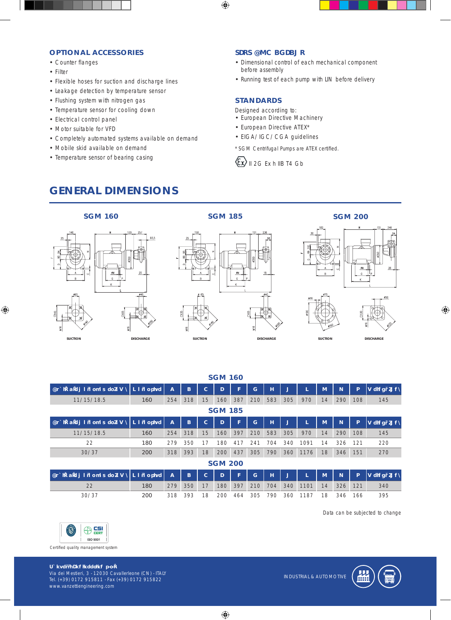#### **OPTIONAL ACCESSORIES**

- Counter flanges
- Filter

◈

- Flexible hoses for suction and discharge lines
- Leakage detection by temperature sensor
- Flushing system with nitrogen gas
- Temperature sensor for cooling down
- Electrical control panel
- Motor suitable for VFD
- Completely automated systems available on demand
- Mobile skid available on demand
- Temperature sensor of bearing casing

### **TEST AND CHECKS**

- Dimensional control of each mechanical component before assembly
- Running test of each pump with LIN before delivery

#### **STANDARDS**

⊕

Designed according to:

- European Directive Machinery
- European Directive ATEX\*
- EIGA/IGC/CGA guidelines

*\*SGM Centrifugal Pumps are ATEX certified.*



# **GENERAL DIMENSIONS**











◈

| Available motor power [kW]              | Motor size        | $\overline{A}$ | B   | c  | D   | F   | G   | н   | K   |      | M  | N        | P   | <b>Weight [Kg]</b> |
|-----------------------------------------|-------------------|----------------|-----|----|-----|-----|-----|-----|-----|------|----|----------|-----|--------------------|
| 11/15/18.5                              | 160               | 254            | 318 | 15 | 160 | 387 | 210 | 583 | 305 | 970  | 14 | 290      | 108 | 145                |
| <b>SGM 185</b>                          |                   |                |     |    |     |     |     |     |     |      |    |          |     |                    |
| Available motor power [kW]              | <b>Motor size</b> | $\overline{A}$ | B   | c  | D   | F   | G   | н   | K   |      | M  | <b>N</b> | P   | Weight [Kg]        |
| 11/15/18.5                              | 160               | 254            | 318 | 15 | 160 | 397 | 210 | 583 | 305 | 970  | 14 | 290      | 108 | 145                |
| 22                                      | 180               | 279            | 350 |    | 180 | 41  | 241 | 704 | 340 | 1091 | 14 | 326      | 121 | 220                |
| 30/37                                   | 200               | 318            | 393 | 18 | 200 | 437 | 305 | 790 | 360 | 1176 | 18 | 346      | 151 | 270                |
| <b>SGM 200</b>                          |                   |                |     |    |     |     |     |     |     |      |    |          |     |                    |
| Available motor power [kW]   Motor size |                   | $\overline{A}$ | B   | c  | D   | F   | G   | н   | K   |      | M  | <b>N</b> | P   | <b>Weight [Kg]</b> |
| 22                                      | 180               | 279            | 350 | 17 | 180 | 397 | 210 | 704 | 340 | 1101 | 14 | 326      | 121 | 340                |
| 30/37                                   | 200               | 318            | 393 | 8  | 200 | 464 | 305 | 790 | 360 | 187  | 18 | 346      | 166 | 395                |

**SGM 160**

*Data can be subjected to change*



www.vanzettiengineering.com

**Vanzetti Engineering s.r.l.** Via dei Mestieri, 3 - 12030 Cavallerleone (CN) - ITALY Tel. (+39) 0172 915811 - Fax (+39) 0172 915822

INDUSTRIAL & AUTOMOTIVE